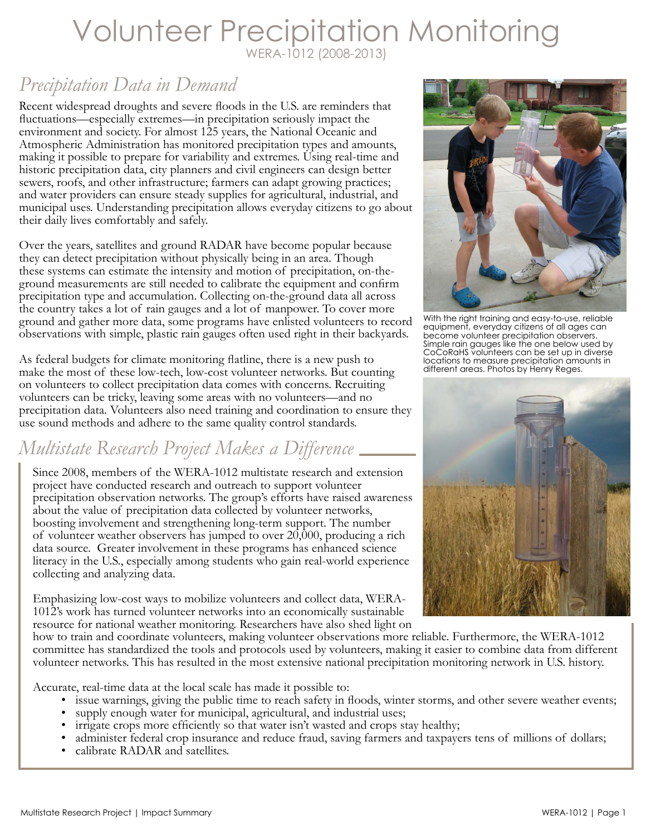# Volunteer Precipitation Monitoring WERA-1012 (2008-2013)

### *Precipitation Data in Demand*

Recent widespread droughts and severe floods in the U.S. are reminders that fluctuations—especially extremes—in precipitation seriously impact the environment and society. For almost 125 years, the National Oceanic and Atmospheric Administration has monitored precipitation types and amounts, making it possible to prepare for variability and extremes. Using real-time and historic precipitation data, city planners and civil engineers can design better sewers, roofs, and other infrastructure; farmers can adapt growing practices; and water providers can ensure steady supplies for agricultural, industrial, and municipal uses. Understanding precipitation allows everyday citizens to go about their daily lives comfortably and safely.

Over the years, satellites and ground RADAR have become popular because they can detect precipitation without physically being in an area. Though these systems can estimate the intensity and motion of precipitation, on-theground measurements are still needed to calibrate the equipment and confirm precipitation type and accumulation. Collecting on-the-ground data all across the country takes a lot of rain gauges and a lot of manpower. To cover more ground and gather more data, some programs have enlisted volunteers to record observations with simple, plastic rain gauges often used right in their backyards.

As federal budgets for climate monitoring flatline, there is a new push to make the most of these low-tech, low-cost volunteer networks. But counting on volunteers to collect precipitation data comes with concerns. Recruiting volunteers can be tricky, leaving some areas with no volunteers—and no precipitation data. Volunteers also need training and coordination to ensure they use sound methods and adhere to the same quality control standards.

# *Multistate Research Project Makes a Difference*

Since 2008, members of the WERA-1012 multistate research and extension project have conducted research and outreach to support volunteer precipitation observation networks. The group's efforts have raised awareness about the value of precipitation data collected by volunteer networks, boosting involvement and strengthening long-term support. The number of volunteer weather observers has jumped to over 20,000, producing a rich data source. Greater involvement in these programs has enhanced science literacy in the U.S., especially among students who gain real-world experience collecting and analyzing data.

Emphasizing low-cost ways to mobilize volunteers and collect data, WERA-1012's work has turned volunteer networks into an economically sustainable resource for national weather monitoring. Researchers have also shed light on

how to train and coordinate volunteers, making volunteer observations more reliable. Furthermore, the WERA-1012 committee has standardized the tools and protocols used by volunteers, making it easier to combine data from different volunteer networks. This has resulted in the most extensive national precipitation monitoring network in U.S. history.

Accurate, real-time data at the local scale has made it possible to:

- issue warnings, giving the public time to reach safety in floods, winter storms, and other severe weather events;
- supply enough water for municipal, agricultural, and industrial uses;
- irrigate crops more efficiently so that water isn't wasted and crops stay healthy;
- administer federal crop insurance and reduce fraud, saving farmers and taxpayers tens of millions of dollars;
- calibrate RADAR and satellites.



With the right training and easy-to-use, reliable equipment, everyday citizens of all ages can become volunteer precipitation observers. Simple rain gauges like the one below used by CoCoRaHS volunteers can be set up in diverse locations to measure precipitation amounts in different areas. Photos by Henry Reges.